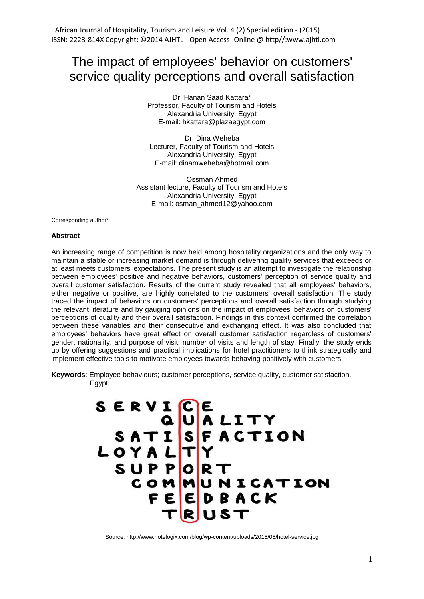# The impact of employees' behavior on customers' service quality perceptions and overall satisfaction

Dr. Hanan Saad Kattara\* Professor, Faculty of Tourism and Hotels Alexandria University, Egypt E-mail: [hkattara@plazaegypt.com](mailto:hkattara@plazaegypt.com)

Dr. Dina Weheba Lecturer, Faculty of Tourism and Hotels Alexandria University, Egypt E-mail: [dinamweheba@hotmail.com](mailto:dinamweheba@hotmail.com)

Ossman Ahmed Assistant lecture, Faculty of Tourism and Hotels Alexandria University, Egypt E-mail: [osman\\_ahmed12@yahoo.com](mailto:osman_ahmed12@yahoo.com)

Corresponding author\*

#### **Abstract**

An increasing range of competition is now held among hospitality organizations and the only way to maintain a stable or increasing market demand is through delivering quality services that exceeds or at least meets customers' expectations. The present study is an attempt to investigate the relationship between employees' positive and negative behaviors, customers' perception of service quality and overall customer satisfaction. Results of the current study revealed that all employees' behaviors, either negative or positive, are highly correlated to the customers' overall satisfaction. The study traced the impact of behaviors on customers' perceptions and overall satisfaction through studying the relevant literature and by gauging opinions on the impact of employees' behaviors on customers' perceptions of quality and their overall satisfaction. Findings in this context confirmed the correlation between these variables and their consecutive and exchanging effect. It was also concluded that employees' behaviors have great effect on overall customer satisfaction regardless of customers' gender, nationality, and purpose of visit, number of visits and length of stay. Finally, the study ends up by offering suggestions and practical implications for hotel practitioners to think strategically and implement effective tools to motivate employees towards behaving positively with customers.

**Keywords**: Employee behaviours; customer perceptions, service quality, customer satisfaction, Egypt.



Source: http://www.hotelogix.com/blog/wp-content/uploads/2015/05/hotel-service.jpg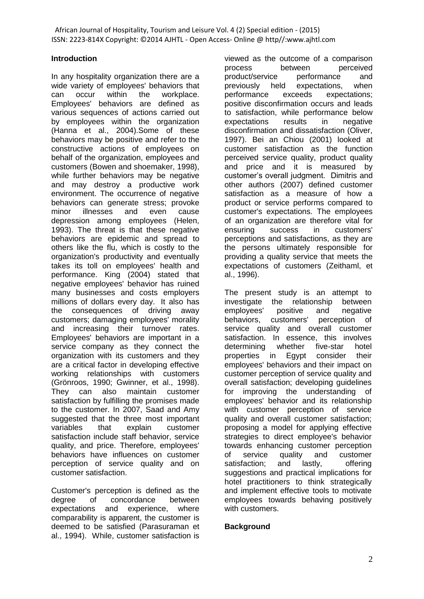## **Introduction**

In any hospitality organization there are a wide variety of employees' behaviors that can occur within the workplace. Employees' behaviors are defined as various sequences of actions carried out by employees within the organization (Hanna et al., 2004).Some of these behaviors may be positive and refer to the constructive actions of employees on behalf of the organization, employees and customers (Bowen and shoemaker, 1998), while further behaviors may be negative and may destroy a productive work environment. The occurrence of negative behaviors can generate stress; provoke minor illnesses and even cause depression among employees (Helen, 1993). The threat is that these negative behaviors are epidemic and spread to others like the flu, which is costly to the organization's productivity and eventually takes its toll on employees' health and performance. King (2004) stated that negative employees' behavior has ruined many businesses and costs employers millions of dollars every day. It also has the consequences of driving away customers; damaging employees' morality and increasing their turnover rates. Employees' behaviors are important in a service company as they connect the organization with its customers and they are a critical factor in developing effective working relationships with customers (Grönroos, 1990; Gwinner, et al., 1998). They can also maintain customer satisfaction by fulfilling the promises made to the customer. In 2007, Saad and Amy suggested that the three most important variables that explain customer satisfaction include staff behavior, service quality, and price. Therefore, employees' behaviors have influences on customer perception of service quality and on customer satisfaction.

Customer's perception is defined as the degree of concordance between expectations and experience, where comparability is apparent, the customer is deemed to be satisfied (Parasuraman et al., 1994). While, customer satisfaction is viewed as the outcome of a comparison process between perceived product/service performance and previously held expectations, when performance exceeds expectations; positive disconfirmation occurs and leads to satisfaction, while performance below expectations results in negative disconfirmation and dissatisfaction (Oliver, 1997). Bei an Chiou (2001) looked at customer satisfaction as the function perceived service quality, product quality and price and it is measured by customer's overall judgment. Dimitris and other authors (2007) defined customer satisfaction as a measure of how a product or service performs compared to customer's expectations. The employees of an organization are therefore vital for ensuring success in customers' perceptions and satisfactions, as they are the persons ultimately responsible for providing a quality service that meets the expectations of customers (Zeithaml, et al., 1996).

The present study is an attempt to investigate the relationship between employees' positive and negative behaviors, customers' perception of service quality and overall customer satisfaction. In essence, this involves determining whether five-star hotel properties in Egypt consider their employees' behaviors and their impact on customer perception of service quality and overall satisfaction; developing guidelines for improving the understanding of employees' behavior and its relationship with customer perception of service quality and overall customer satisfaction; proposing a model for applying effective strategies to direct employee's behavior towards enhancing customer perception of service quality and customer<br>satisfaction: and lastly, offering satisfaction; and lastly, offering suggestions and practical implications for hotel practitioners to think strategically and implement effective tools to motivate employees towards behaving positively with customers.

## **Background**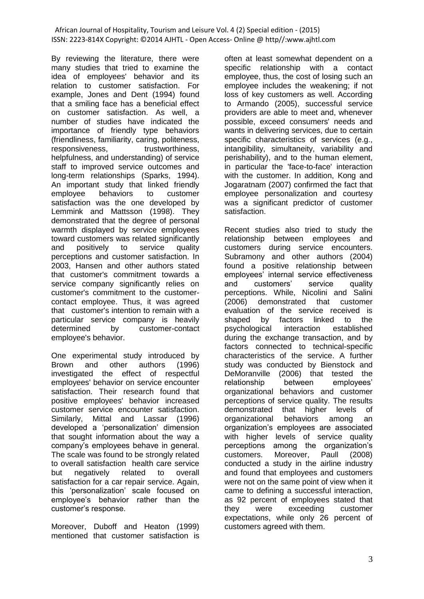By reviewing the literature, there were many studies that tried to examine the idea of employees' behavior and its relation to customer satisfaction. For example, Jones and Dent (1994) found that a smiling face has a beneficial effect on customer satisfaction. As well, a number of studies have indicated the importance of friendly type behaviors (friendliness, familiarity, caring, politeness, responsiveness, trustworthiness, helpfulness, and understanding) of service staff to improved service outcomes and long-term relationships (Sparks, 1994). An important study that linked friendly employee behaviors to customer satisfaction was the one developed by Lemmink and Mattsson (1998). They demonstrated that the degree of personal warmth displayed by service employees toward customers was related significantly and positively to service quality perceptions and customer satisfaction. In 2003, Hansen and other authors stated that customer's commitment towards a service company significantly relies on customer's commitment to the customercontact employee. Thus, it was agreed that customer's intention to remain with a particular service company is heavily determined by customer-contact employee's behavior.

One experimental study introduced by Brown and other authors (1996) investigated the effect of respectful employees' behavior on service encounter satisfaction. Their research found that positive employees' behavior increased customer service encounter satisfaction. Similarly, Mittal and Lassar (1996) developed a 'personalization' dimension that sought information about the way a company's employees behave in general. The scale was found to be strongly related to overall satisfaction health care service but negatively related to overall satisfaction for a car repair service. Again, this 'personalization' scale focused on employee's behavior rather than the customer's response.

Moreover, Duboff and Heaton (1999) mentioned that customer satisfaction is often at least somewhat dependent on a specific relationship with a contact employee, thus, the cost of losing such an employee includes the weakening; if not loss of key customers as well. According to Armando (2005), successful service providers are able to meet and, whenever possible, exceed consumers' needs and wants in delivering services, due to certain specific characteristics of services (e.g., intangibility, simultaneity, variability and perishability), and to the human element, in particular the 'face-to-face' interaction with the customer. In addition, Kong and Jogaratnam (2007) confirmed the fact that employee personalization and courtesy was a significant predictor of customer satisfaction.

Recent studies also tried to study the relationship between employees and customers during service encounters. Subramony and other authors (2004) found a positive relationship between employees' internal service effectiveness and customers' service quality perceptions. While, Nicolini and Salini (2006) demonstrated that customer evaluation of the service received is shaped by factors linked to the psychological interaction established during the exchange transaction, and by factors connected to technical-specific characteristics of the service. A further study was conducted by Bienstock and DeMoranville (2006) that tested the relationship between employees' organizational behaviors and customer perceptions of service quality. The results demonstrated that higher levels of organizational behaviors among an organization's employees are associated with higher levels of service quality perceptions among the organization's customers. Moreover, Paull (2008) conducted a study in the airline industry and found that employees and customers were not on the same point of view when it came to defining a successful interaction, as 92 percent of employees stated that they were exceeding customer expectations, while only 26 percent of customers agreed with them.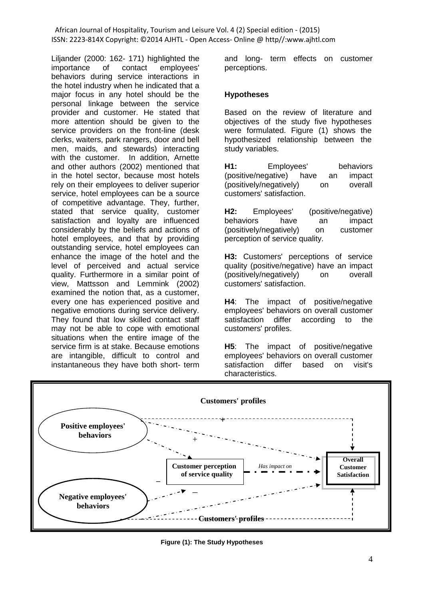Liljander (2000: 162- 171) highlighted the importance of contact employees' behaviors during service interactions in the hotel industry when he indicated that a major focus in any hotel should be the personal linkage between the service provider and customer. He stated that more attention should be given to the service providers on the front-line (desk clerks, waiters, park rangers, door and bell men, maids, and stewards) interacting with the customer. In addition, Arnette and other authors (2002) mentioned that in the hotel sector, because most hotels rely on their employees to deliver superior service, hotel employees can be a source of competitive advantage. They, further, stated that service quality, customer satisfaction and loyalty are influenced considerably by the beliefs and actions of hotel employees, and that by providing outstanding service, hotel employees can enhance the image of the hotel and the level of perceived and actual service quality. Furthermore in a similar point of view, Mattsson and Lemmink (2002) examined the notion that, as a customer, every one has experienced positive and negative emotions during service delivery. They found that low skilled contact staff may not be able to cope with emotional situations when the entire image of the service firm is at stake. Because emotions are intangible, difficult to control and instantaneous they have both short- term

and long- term effects on customer perceptions.

## **Hypotheses**

Based on the review of literature and objectives of the study five hypotheses were formulated. Figure (1) shows the hypothesized relationship between the study variables.

**H1:** Employees' behaviors (positive/negative) have an impact (positively/negatively) on overall customers' satisfaction.

**H2:** Employees' (positive/negative) behaviors have an impact (positively/negatively) on customer perception of service quality.

**H3:** Customers' perceptions of service quality (positive/negative) have an impact (positively/negatively) on overall customers' satisfaction.

**H4**: The impact of positive/negative employees' behaviors on overall customer satisfaction differ according to the customers' profiles.

**H5**: The impact of positive/negative employees' behaviors on overall customer satisfaction differ based on visit's characteristics.



**Figure (1): The Study Hypotheses**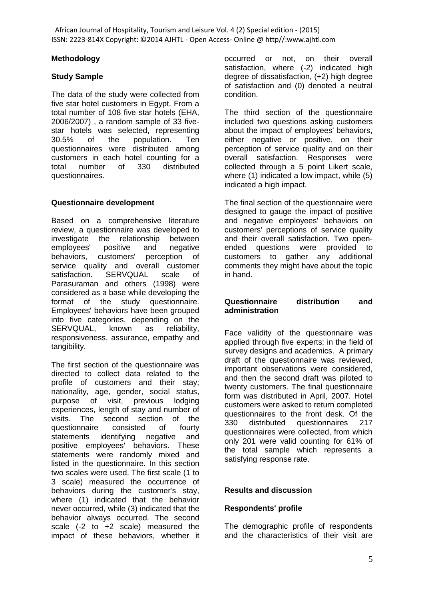## **Methodology**

# **Study Sample**

The data of the study were collected from five star hotel customers in Egypt. From a total number of 108 five star hotels (EHA, 2006/2007) , a random sample of 33 fivestar hotels was selected, representing 30.5% of the population. Ten questionnaires were distributed among customers in each hotel counting for a total number of 330 distributed questionnaires.

# **Questionnaire development**

Based on a comprehensive literature review, a questionnaire was developed to investigate the relationship between employees' positive and negative behaviors, customers' perception of service quality and overall customer satisfaction. SERVQUAL scale of Parasuraman and others (1998) were considered as a base while developing the format of the study questionnaire. Employees' behaviors have been grouped into five categories, depending on the SERVQUAL, known as reliability, responsiveness, assurance, empathy and tangibility.

The first section of the questionnaire was directed to collect data related to the profile of customers and their stay; nationality, age, gender, social status, purpose of visit, previous lodging experiences, length of stay and number of visits. The second section of the questionnaire consisted of fourty statements identifying negative and positive employees' behaviors. These statements were randomly mixed and listed in the questionnaire. In this section two scales were used. The first scale (1 to 3 scale) measured the occurrence of behaviors during the customer's stay, where (1) indicated that the behavior never occurred, while (3) indicated that the behavior always occurred. The second scale (-2 to +2 scale) measured the impact of these behaviors, whether it

occurred or not, on their overall satisfaction, where (-2) indicated high degree of dissatisfaction, (+2) high degree of satisfaction and (0) denoted a neutral condition.

The third section of the questionnaire included two questions asking customers about the impact of employees' behaviors, either negative or positive, on their perception of service quality and on their overall satisfaction. Responses were collected through a 5 point Likert scale, where (1) indicated a low impact, while (5) indicated a high impact.

The final section of the questionnaire were designed to gauge the impact of positive and negative employees' behaviors on customers' perceptions of service quality and their overall satisfaction. Two openended questions were provided to customers to gather any additional comments they might have about the topic in hand.

## **Questionnaire distribution and administration**

Face validity of the questionnaire was applied through five experts; in the field of survey designs and academics. A primary draft of the questionnaire was reviewed, important observations were considered, and then the second draft was piloted to twenty customers. The final questionnaire form was distributed in April, 2007. Hotel customers were asked to return completed questionnaires to the front desk. Of the 330 distributed questionnaires 217 questionnaires were collected, from which only 201 were valid counting for 61% of the total sample which represents a satisfying response rate.

# **Results and discussion**

# **Respondents' profile**

The demographic profile of respondents and the characteristics of their visit are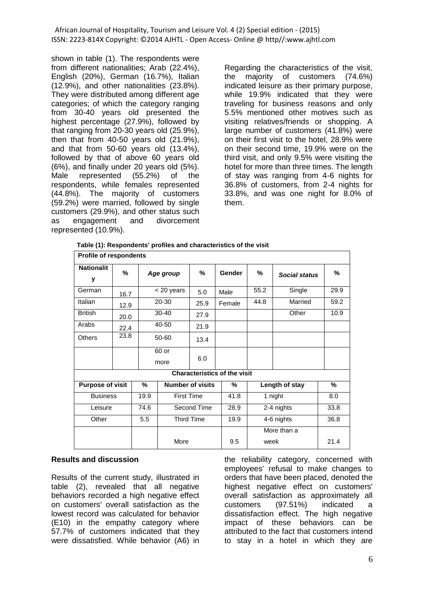shown in table (1). The respondents were from different nationalities; Arab (22.4%), English (20%), German (16.7%), Italian (12.9%), and other nationalities (23.8%). They were distributed among different age categories; of which the category ranging from 30-40 years old presented the highest percentage (27.9%), followed by that ranging from 20-30 years old (25.9%), then that from 40-50 years old (21.9%), and that from 50-60 years old (13.4%), followed by that of above 60 years old (6%), and finally under 20 years old (5%). Male represented (55.2%) of the respondents, while females represented (44.8%). The majority of customers (59.2%) were married, followed by single customers (29.9%), and other status such as engagement and divorcement represented (10.9%).

Regarding the characteristics of the visit, the majority of customers (74.6%) indicated leisure as their primary purpose, while 19.9% indicated that they were traveling for business reasons and only 5.5% mentioned other motives such as visiting relatives/friends or shopping. A large number of customers (41.8%) were on their first visit to the hotel, 28.9% were on their second time, 19.9% were on the third visit, and only 9.5% were visiting the hotel for more than three times. The length of stay was ranging from 4-6 nights for 36.8% of customers, from 2-4 nights for 33.8%, and was one night for 8.0% of them.

| <b>Profile of respondents</b>       |      |               |                   |                         |        |                 |                      |      |  |
|-------------------------------------|------|---------------|-------------------|-------------------------|--------|-----------------|----------------------|------|--|
| <b>Nationalit</b><br>y              | %    | Age group     |                   | %                       | Gender | %               | <b>Social status</b> | ℅    |  |
| German                              | 16.7 |               | $<$ 20 years      |                         | Male   | 55.2<br>Single  |                      | 29.9 |  |
| Italian                             | 12.9 |               | 20-30<br>25.9     |                         | Female | 44.8<br>Married |                      | 59.2 |  |
| <b>British</b>                      | 20.0 |               | $30-40$           | 27.9                    |        | Other           |                      | 10.9 |  |
| Arabs                               | 22.4 |               | 40-50             | 21.9                    |        |                 |                      |      |  |
| Others                              | 23.8 | 50-60         |                   | 13.4                    |        |                 |                      |      |  |
|                                     |      | 60 or<br>more |                   | 6.0                     |        |                 |                      |      |  |
| <b>Characteristics of the visit</b> |      |               |                   |                         |        |                 |                      |      |  |
| %<br><b>Purpose of visit</b>        |      |               |                   | <b>Number of visits</b> | %      |                 | Length of stay       | %    |  |
| <b>Business</b>                     |      | 19.9          | <b>First Time</b> |                         | 41.8   | 1 night         |                      | 8.0  |  |
| Leisure                             |      | 74.6          | Second Time       |                         | 28.9   | 2-4 nights      |                      | 33.8 |  |
| Other                               |      | 5.5           |                   | <b>Third Time</b>       | 19.9   | 4-6 nights      |                      | 36.8 |  |
|                                     |      |               |                   |                         |        |                 | More than a          |      |  |
|                                     |      |               | More              |                         | 9.5    | week            |                      | 21.4 |  |

**Table (1): Respondents' profiles and characteristics of the visit**

## **Results and discussion**

Results of the current study, illustrated in table (2), revealed that all negative behaviors recorded a high negative effect on customers' overall satisfaction as the lowest record was calculated for behavior (E10) in the empathy category where 57.7% of customers indicated that they were dissatisfied. While behavior (A6) in

the reliability category, concerned with employees' refusal to make changes to orders that have been placed, denoted the highest negative effect on customers' overall satisfaction as approximately all customers (97.51%) indicated a dissatisfaction effect. The high negative impact of these behaviors can be attributed to the fact that customers intend to stay in a hotel in which they are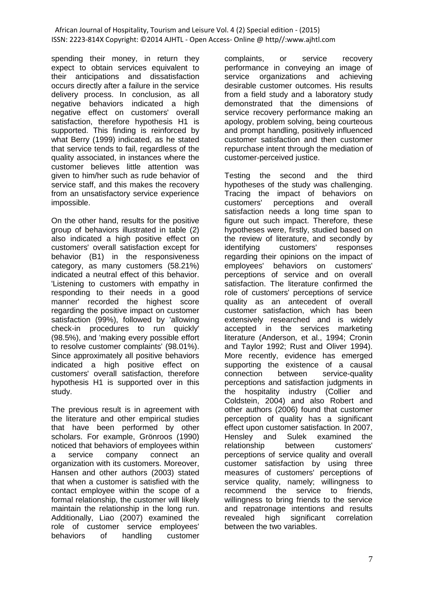spending their money, in return they expect to obtain services equivalent to their anticipations and dissatisfaction occurs directly after a failure in the service delivery process. In conclusion, as all negative behaviors indicated a high negative effect on customers' overall satisfaction, therefore hypothesis H1 is supported. This finding is reinforced by what Berry (1999) indicated, as he stated that service tends to fail, regardless of the quality associated, in instances where the customer believes little attention was given to him/her such as rude behavior of service staff, and this makes the recovery from an unsatisfactory service experience impossible.

On the other hand, results for the positive group of behaviors illustrated in table (2) also indicated a high positive effect on customers' overall satisfaction except for behavior (B1) in the responsiveness category, as many customers (58.21%) indicated a neutral effect of this behavior. 'Listening to customers with empathy in responding to their needs in a good manner' recorded the highest score regarding the positive impact on customer satisfaction (99%), followed by 'allowing check-in procedures to run quickly' (98.5%), and 'making every possible effort to resolve customer complaints' (98.01%). Since approximately all positive behaviors indicated a high positive effect on customers' overall satisfaction, therefore hypothesis H1 is supported over in this study.

The previous result is in agreement with the literature and other empirical studies that have been performed by other scholars. For example, Grönroos (1990) noticed that behaviors of employees within a service company connect an organization with its customers. Moreover, Hansen and other authors (2003) stated that when a customer is satisfied with the contact employee within the scope of a formal relationship, the customer will likely maintain the relationship in the long run. Additionally, Liao (2007) examined the role of customer service employees' behaviors of handling customer

complaints, or service recovery performance in conveying an image of service organizations and achieving desirable customer outcomes. His results from a field study and a laboratory study demonstrated that the dimensions of service recovery performance making an apology, problem solving, being courteous and prompt handling, positively influenced customer satisfaction and then customer repurchase intent through the mediation of customer-perceived justice.

Testing the second and the third hypotheses of the study was challenging. Tracing the impact of behaviors on customers' perceptions and overall satisfaction needs a long time span to figure out such impact. Therefore, these hypotheses were, firstly, studied based on the review of literature, and secondly by identifying customers' responses regarding their opinions on the impact of employees' behaviors on customers' perceptions of service and on overall satisfaction. The literature confirmed the role of customers' perceptions of service quality as an antecedent of overall customer satisfaction, which has been extensively researched and is widely accepted in the services marketing literature (Anderson, et al., 1994; Cronin and Taylor 1992; Rust and Oliver 1994). More recently, evidence has emerged supporting the existence of a causal connection between service-quality perceptions and satisfaction judgments in the hospitality industry (Collier and Coldstein, 2004) and also Robert and other authors (2006) found that customer perception of quality has a significant effect upon customer satisfaction. In 2007, Hensley and Sulek examined the relationship between customers' perceptions of service quality and overall customer satisfaction by using three measures of customers' perceptions of service quality, namely; willingness to recommend the service to friends, willingness to bring friends to the service and repatronage intentions and results revealed high significant correlation between the two variables.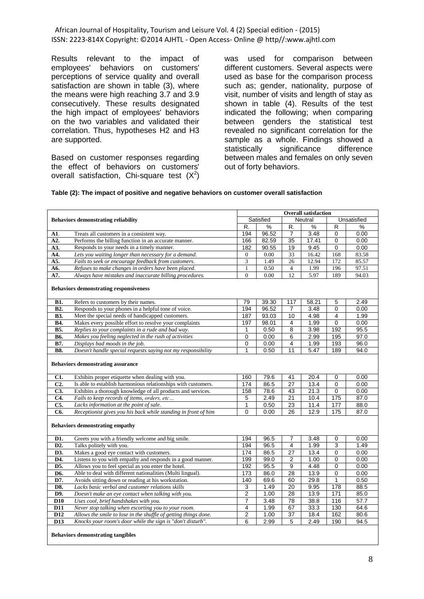Results relevant to the impact of employees' behaviors on customers' perceptions of service quality and overall satisfaction are shown in table (3), where the means were high reaching 3.7 and 3.9 consecutively. These results designated the high impact of employees' behaviors on the two variables and validated their correlation. Thus, hypotheses H2 and H3 are supported.

Based on customer responses regarding the effect of behaviors on customers' overall satisfaction, Chi-square test  $(X^2)$  was used for comparison between different customers. Several aspects were used as base for the comparison process such as; gender, nationality, purpose of visit, number of visits and length of stay as shown in table (4). Results of the test indicated the following; when comparing between genders the statistical test revealed no significant correlation for the sample as a whole. Findings showed a statistically significance difference between males and females on only seven out of forty behaviors.

#### **Table (2): The impact of positive and negative behaviors on customer overall satisfaction**

| <b>Behaviors demonstrating reliability</b><br>A1.<br>A2.<br>A3.<br>A4.<br>A5.<br>A6.<br>A7.<br><b>B1.</b><br><b>B2.</b><br><b>B3.</b><br><b>B4.</b><br><b>B5.</b><br><b>B6.</b><br><b>B7.</b> | Treats all customers in a consistent way.<br>Performs the billing function in an accurate manner.<br>Responds to your needs in a timely manner.<br>Lets you waiting longer than necessary for a demand.<br>Fails to seek or encourage feedback from customers.<br>Refuses to make changes in orders have been placed.<br>Always have mistakes and inaccurate billing procedures.<br><b>Behaviors demonstrating responsiveness</b><br>Refers to customers by their names.<br>Responds to your phones in a helpful tone of voice.<br>Meet the special needs of handicapped customers.<br>Makes every possible effort to resolve your complaints<br>Replies to your complaints in a rude and bad way.<br>Makes you feeling neglected in the rush of activities<br>Displays bad moods in the job. | R.<br>194<br>166<br>182<br>$\boldsymbol{0}$<br>$\overline{3}$<br>$\mathbf{1}$<br>$\Omega$<br>79<br>194<br>187<br>197<br>1 | Satisfied<br>%<br>96.52<br>82.59<br>90.55<br>0.00<br>1.49<br>0.50<br>0.00<br>39.30<br>96.52<br>93.03 | R.<br>$\overline{7}$<br>$\overline{35}$<br>19<br>33<br>26<br>$\overline{4}$<br>12<br>117<br>$\overline{7}$<br>10 | <b>Overall satisfaction</b><br><b>Neutral</b><br>$\frac{9}{6}$<br>3.48<br>17.41<br>9.45<br>16.42<br>12.94<br>1.99<br>5.97<br>58.21<br>3.48 | $\overline{R}$<br>$\Omega$<br>$\Omega$<br>0<br>168<br>172<br>196<br>189<br>$\overline{5}$<br>0 | Unsatisfied<br>%<br>0.00<br>0.00<br>0.00<br>83.58<br>85.57<br>97.51<br>94.03<br>2.49<br>0.00 |
|-----------------------------------------------------------------------------------------------------------------------------------------------------------------------------------------------|-----------------------------------------------------------------------------------------------------------------------------------------------------------------------------------------------------------------------------------------------------------------------------------------------------------------------------------------------------------------------------------------------------------------------------------------------------------------------------------------------------------------------------------------------------------------------------------------------------------------------------------------------------------------------------------------------------------------------------------------------------------------------------------------------|---------------------------------------------------------------------------------------------------------------------------|------------------------------------------------------------------------------------------------------|------------------------------------------------------------------------------------------------------------------|--------------------------------------------------------------------------------------------------------------------------------------------|------------------------------------------------------------------------------------------------|----------------------------------------------------------------------------------------------|
|                                                                                                                                                                                               |                                                                                                                                                                                                                                                                                                                                                                                                                                                                                                                                                                                                                                                                                                                                                                                               |                                                                                                                           |                                                                                                      |                                                                                                                  |                                                                                                                                            |                                                                                                |                                                                                              |
|                                                                                                                                                                                               |                                                                                                                                                                                                                                                                                                                                                                                                                                                                                                                                                                                                                                                                                                                                                                                               |                                                                                                                           |                                                                                                      |                                                                                                                  |                                                                                                                                            |                                                                                                |                                                                                              |
|                                                                                                                                                                                               |                                                                                                                                                                                                                                                                                                                                                                                                                                                                                                                                                                                                                                                                                                                                                                                               |                                                                                                                           |                                                                                                      |                                                                                                                  |                                                                                                                                            |                                                                                                |                                                                                              |
|                                                                                                                                                                                               |                                                                                                                                                                                                                                                                                                                                                                                                                                                                                                                                                                                                                                                                                                                                                                                               |                                                                                                                           |                                                                                                      |                                                                                                                  |                                                                                                                                            |                                                                                                |                                                                                              |
|                                                                                                                                                                                               |                                                                                                                                                                                                                                                                                                                                                                                                                                                                                                                                                                                                                                                                                                                                                                                               |                                                                                                                           |                                                                                                      |                                                                                                                  |                                                                                                                                            |                                                                                                |                                                                                              |
|                                                                                                                                                                                               |                                                                                                                                                                                                                                                                                                                                                                                                                                                                                                                                                                                                                                                                                                                                                                                               |                                                                                                                           |                                                                                                      |                                                                                                                  |                                                                                                                                            |                                                                                                |                                                                                              |
|                                                                                                                                                                                               |                                                                                                                                                                                                                                                                                                                                                                                                                                                                                                                                                                                                                                                                                                                                                                                               |                                                                                                                           |                                                                                                      |                                                                                                                  |                                                                                                                                            |                                                                                                |                                                                                              |
|                                                                                                                                                                                               |                                                                                                                                                                                                                                                                                                                                                                                                                                                                                                                                                                                                                                                                                                                                                                                               |                                                                                                                           |                                                                                                      |                                                                                                                  |                                                                                                                                            |                                                                                                |                                                                                              |
|                                                                                                                                                                                               |                                                                                                                                                                                                                                                                                                                                                                                                                                                                                                                                                                                                                                                                                                                                                                                               |                                                                                                                           |                                                                                                      |                                                                                                                  |                                                                                                                                            |                                                                                                |                                                                                              |
|                                                                                                                                                                                               |                                                                                                                                                                                                                                                                                                                                                                                                                                                                                                                                                                                                                                                                                                                                                                                               |                                                                                                                           |                                                                                                      |                                                                                                                  |                                                                                                                                            |                                                                                                |                                                                                              |
|                                                                                                                                                                                               |                                                                                                                                                                                                                                                                                                                                                                                                                                                                                                                                                                                                                                                                                                                                                                                               |                                                                                                                           |                                                                                                      |                                                                                                                  |                                                                                                                                            |                                                                                                |                                                                                              |
|                                                                                                                                                                                               |                                                                                                                                                                                                                                                                                                                                                                                                                                                                                                                                                                                                                                                                                                                                                                                               |                                                                                                                           |                                                                                                      |                                                                                                                  |                                                                                                                                            |                                                                                                |                                                                                              |
|                                                                                                                                                                                               |                                                                                                                                                                                                                                                                                                                                                                                                                                                                                                                                                                                                                                                                                                                                                                                               |                                                                                                                           |                                                                                                      |                                                                                                                  | 4.98                                                                                                                                       | 4                                                                                              | 1.99                                                                                         |
|                                                                                                                                                                                               |                                                                                                                                                                                                                                                                                                                                                                                                                                                                                                                                                                                                                                                                                                                                                                                               |                                                                                                                           | 98.01                                                                                                | 4                                                                                                                | 1.99                                                                                                                                       | $\Omega$                                                                                       | 0.00                                                                                         |
|                                                                                                                                                                                               |                                                                                                                                                                                                                                                                                                                                                                                                                                                                                                                                                                                                                                                                                                                                                                                               |                                                                                                                           | 0.50                                                                                                 | 8                                                                                                                | 3.98                                                                                                                                       | 192                                                                                            | 95.5                                                                                         |
|                                                                                                                                                                                               |                                                                                                                                                                                                                                                                                                                                                                                                                                                                                                                                                                                                                                                                                                                                                                                               | 0                                                                                                                         | 0.00                                                                                                 | 6                                                                                                                | 2.99                                                                                                                                       | 195                                                                                            | 97.0                                                                                         |
|                                                                                                                                                                                               |                                                                                                                                                                                                                                                                                                                                                                                                                                                                                                                                                                                                                                                                                                                                                                                               | 0<br>$\mathbf{1}$                                                                                                         | 0.00<br>0.50                                                                                         | 4                                                                                                                | 1.99                                                                                                                                       | 193                                                                                            | 96.0                                                                                         |
| <b>B8.</b>                                                                                                                                                                                    | Doesn't handle special requests saying not my responsibility                                                                                                                                                                                                                                                                                                                                                                                                                                                                                                                                                                                                                                                                                                                                  |                                                                                                                           |                                                                                                      | 11                                                                                                               | 5.47                                                                                                                                       | 189                                                                                            | 94.0                                                                                         |
| <b>Behaviors demonstrating assurance</b>                                                                                                                                                      |                                                                                                                                                                                                                                                                                                                                                                                                                                                                                                                                                                                                                                                                                                                                                                                               |                                                                                                                           |                                                                                                      |                                                                                                                  |                                                                                                                                            |                                                                                                |                                                                                              |
| C1.                                                                                                                                                                                           | Exhibits proper etiquette when dealing with you.                                                                                                                                                                                                                                                                                                                                                                                                                                                                                                                                                                                                                                                                                                                                              | 160                                                                                                                       | 79.6                                                                                                 | 41                                                                                                               | 20.4                                                                                                                                       | $\mathbf 0$                                                                                    | 0.00                                                                                         |
| $\overline{C2}$ .                                                                                                                                                                             | Is able to establish harmonious relationships with customers.                                                                                                                                                                                                                                                                                                                                                                                                                                                                                                                                                                                                                                                                                                                                 | 174                                                                                                                       | 86.5                                                                                                 | $\overline{27}$                                                                                                  | 13.4                                                                                                                                       | $\mathbf 0$                                                                                    | 0.00                                                                                         |
| C3.                                                                                                                                                                                           | Exhibits a thorough knowledge of all products and services.                                                                                                                                                                                                                                                                                                                                                                                                                                                                                                                                                                                                                                                                                                                                   | 158                                                                                                                       | 78.6                                                                                                 | 43                                                                                                               | 21.3                                                                                                                                       | 0                                                                                              | 0.00                                                                                         |
| C4.                                                                                                                                                                                           | Fails to keep records of items, orders, etc                                                                                                                                                                                                                                                                                                                                                                                                                                                                                                                                                                                                                                                                                                                                                   | 5                                                                                                                         | 2.49                                                                                                 | 21                                                                                                               | 10.4                                                                                                                                       | 175                                                                                            | 87.0                                                                                         |
| C5.                                                                                                                                                                                           | Lacks information at the point of sale.                                                                                                                                                                                                                                                                                                                                                                                                                                                                                                                                                                                                                                                                                                                                                       | $\mathbf{1}$                                                                                                              | 0.50                                                                                                 | 23                                                                                                               | 11.4                                                                                                                                       | 177                                                                                            | 88.0                                                                                         |
| C6.                                                                                                                                                                                           | Receptionist gives you his back while standing in front of him                                                                                                                                                                                                                                                                                                                                                                                                                                                                                                                                                                                                                                                                                                                                | $\overline{0}$                                                                                                            | 0.00                                                                                                 | 26                                                                                                               | 12.9                                                                                                                                       | 175                                                                                            | 87.0                                                                                         |
| <b>Behaviors demonstrating empathy</b>                                                                                                                                                        |                                                                                                                                                                                                                                                                                                                                                                                                                                                                                                                                                                                                                                                                                                                                                                                               |                                                                                                                           |                                                                                                      |                                                                                                                  |                                                                                                                                            |                                                                                                |                                                                                              |
| D1.                                                                                                                                                                                           | Greets you with a friendly welcome and big smile.                                                                                                                                                                                                                                                                                                                                                                                                                                                                                                                                                                                                                                                                                                                                             | 194                                                                                                                       | 96.5                                                                                                 | $\overline{7}$                                                                                                   | 3.48                                                                                                                                       | $\mathbf 0$                                                                                    | 0.00                                                                                         |
| D <sub>2</sub> .                                                                                                                                                                              | Talks politely with you.                                                                                                                                                                                                                                                                                                                                                                                                                                                                                                                                                                                                                                                                                                                                                                      | 194                                                                                                                       | 96.5                                                                                                 | 4                                                                                                                | 1.99                                                                                                                                       | 3                                                                                              | 1.49                                                                                         |
| D3.                                                                                                                                                                                           | Makes a good eye contact with customers.                                                                                                                                                                                                                                                                                                                                                                                                                                                                                                                                                                                                                                                                                                                                                      | 174                                                                                                                       | 86.5                                                                                                 | 27                                                                                                               | 13.4                                                                                                                                       | $\Omega$                                                                                       | 0.00                                                                                         |
| D4.                                                                                                                                                                                           | Listens to you with empathy and responds in a good manner.                                                                                                                                                                                                                                                                                                                                                                                                                                                                                                                                                                                                                                                                                                                                    | 199                                                                                                                       | 99.0                                                                                                 | $\overline{\mathbf{c}}$                                                                                          | 1.00                                                                                                                                       | $\mathbf 0$                                                                                    | 0.00                                                                                         |
| D5.                                                                                                                                                                                           | Allows you to feel special as you enter the hotel.                                                                                                                                                                                                                                                                                                                                                                                                                                                                                                                                                                                                                                                                                                                                            | 192<br>173                                                                                                                | 95.5<br>86.0                                                                                         | $\overline{9}$                                                                                                   | 4.48                                                                                                                                       | $\mathbf 0$                                                                                    | 0.00                                                                                         |
| D6.                                                                                                                                                                                           | Able to deal with different nationalities (Multi lingual).                                                                                                                                                                                                                                                                                                                                                                                                                                                                                                                                                                                                                                                                                                                                    |                                                                                                                           |                                                                                                      | 28                                                                                                               | 13.9                                                                                                                                       | $\Omega$                                                                                       | 0.00                                                                                         |
| D7.                                                                                                                                                                                           | Avoids sitting down or reading at his workstation.                                                                                                                                                                                                                                                                                                                                                                                                                                                                                                                                                                                                                                                                                                                                            |                                                                                                                           |                                                                                                      | 60                                                                                                               | 29.8                                                                                                                                       | $\mathbf{1}$                                                                                   | 0.50                                                                                         |
| D8.                                                                                                                                                                                           | Lacks basic verbal and customer relations skills                                                                                                                                                                                                                                                                                                                                                                                                                                                                                                                                                                                                                                                                                                                                              |                                                                                                                           |                                                                                                      | 20                                                                                                               | 9.95                                                                                                                                       | 178                                                                                            | 88.5                                                                                         |
| D9.                                                                                                                                                                                           | Doesn't make an eye contact when talking with you.                                                                                                                                                                                                                                                                                                                                                                                                                                                                                                                                                                                                                                                                                                                                            | 2                                                                                                                         | 1.00                                                                                                 | 28                                                                                                               | 13.9                                                                                                                                       | 171                                                                                            | 85.0                                                                                         |
| D <sub>10</sub>                                                                                                                                                                               | Uses cool, brief handshakes with you.                                                                                                                                                                                                                                                                                                                                                                                                                                                                                                                                                                                                                                                                                                                                                         | 7                                                                                                                         | 3.48                                                                                                 | 78                                                                                                               | 38.8                                                                                                                                       | 116                                                                                            | 57.7                                                                                         |
| D11                                                                                                                                                                                           | Never stop talking when escorting you to your room.                                                                                                                                                                                                                                                                                                                                                                                                                                                                                                                                                                                                                                                                                                                                           | 4                                                                                                                         | 1.99                                                                                                 | 67                                                                                                               | 33.3                                                                                                                                       | 130                                                                                            | 64.6                                                                                         |
| $\overline{D12}$                                                                                                                                                                              | Allows the smile to lose in the shuffle of getting things done.                                                                                                                                                                                                                                                                                                                                                                                                                                                                                                                                                                                                                                                                                                                               | $\overline{2}$                                                                                                            | 1.00                                                                                                 | $\overline{37}$                                                                                                  | 18.4                                                                                                                                       | 162                                                                                            | 80.6                                                                                         |
| D <sub>13</sub>                                                                                                                                                                               | Knocks your room's door while the sign is "don't disturb".                                                                                                                                                                                                                                                                                                                                                                                                                                                                                                                                                                                                                                                                                                                                    | 6                                                                                                                         | 2.99                                                                                                 | 5                                                                                                                | 2.49                                                                                                                                       | 190                                                                                            | 94.5                                                                                         |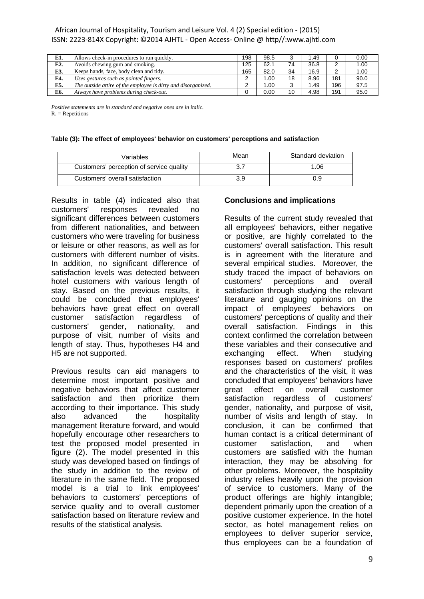| E1. | Allows check-in procedures to run quickly.                    | 198 | 98.5 |    | l.49 |     | 0.00 |
|-----|---------------------------------------------------------------|-----|------|----|------|-----|------|
| E2. | Avoids chewing gum and smoking.                               | 125 | 62.1 | 74 | 36.8 | ົ   | 1.00 |
| E3. | Keeps hands, face, body clean and tidy.                       | 165 | 82.0 | 34 | 16.9 |     | 1.00 |
| E4. | Uses gestures such as pointed fingers.                        |     | 00.1 | 18 | 8.96 | 181 | 90.0 |
| E5. | The outside attire of the employee is dirty and disorganized. |     | 0.00 |    | 1.49 | 196 | 97.5 |
| E6. | Always have problems during check-out.                        |     | 0.00 | 10 | 4.98 | 191 | 95.0 |

*Positive statements are in standard and negative ones are in italic.*  $R = Repetitions$ 

|  |  |  |  | Table (3): The effect of employees' behavior on customers' perceptions and satisfaction |
|--|--|--|--|-----------------------------------------------------------------------------------------|
|  |  |  |  |                                                                                         |

| Variables                                | Mean | Standard deviation |
|------------------------------------------|------|--------------------|
| Customers' perception of service quality |      | 1.06               |
| Customers' overall satisfaction          | 3.9  | 0.9                |

Results in table (4) indicated also that customers' responses revealed no significant differences between customers from different nationalities, and between customers who were traveling for business or leisure or other reasons, as well as for customers with different number of visits. In addition, no significant difference of satisfaction levels was detected between hotel customers with various length of stay. Based on the previous results, it could be concluded that employees' behaviors have great effect on overall customer satisfaction regardless of customers' gender, nationality, and purpose of visit, number of visits and length of stay. Thus, hypotheses H4 and H5 are not supported.

Previous results can aid managers to determine most important positive and negative behaviors that affect customer satisfaction and then prioritize them according to their importance. This study also advanced the hospitality management literature forward, and would hopefully encourage other researchers to test the proposed model presented in figure (2). The model presented in this study was developed based on findings of the study in addition to the review of literature in the same field. The proposed model is a trial to link employees' behaviors to customers' perceptions of service quality and to overall customer satisfaction based on literature review and results of the statistical analysis.

## **Conclusions and implications**

Results of the current study revealed that all employees' behaviors, either negative or positive, are highly correlated to the customers' overall satisfaction. This result is in agreement with the literature and several empirical studies. Moreover, the study traced the impact of behaviors on customers' perceptions and overall satisfaction through studying the relevant literature and gauging opinions on the impact of employees' behaviors on customers' perceptions of quality and their overall satisfaction. Findings in this context confirmed the correlation between these variables and their consecutive and exchanging effect. When studying responses based on customers' profiles and the characteristics of the visit, it was concluded that employees' behaviors have great effect on overall customer satisfaction regardless of customers' gender, nationality, and purpose of visit, number of visits and length of stay. In conclusion, it can be confirmed that human contact is a critical determinant of customer satisfaction, and when customers are satisfied with the human interaction, they may be absolving for other problems. Moreover, the hospitality industry relies heavily upon the provision of service to customers. Many of the product offerings are highly intangible; dependent primarily upon the creation of a positive customer experience. In the hotel sector, as hotel management relies on employees to deliver superior service, thus employees can be a foundation of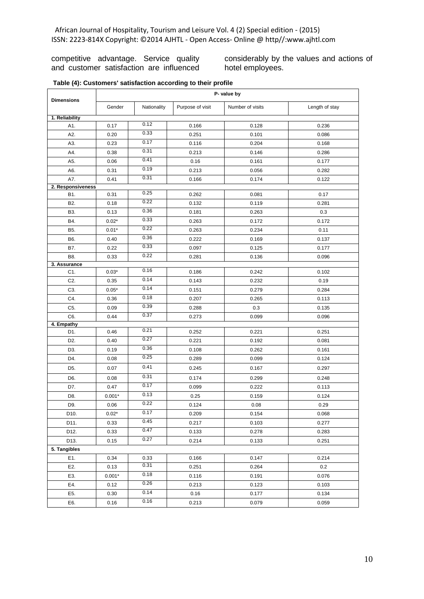competitive advantage. Service quality and customer satisfaction are influenced considerably by the values and actions of hotel employees.

|  |  |  | Table (4): Customers' satisfaction according to their profile |  |  |  |
|--|--|--|---------------------------------------------------------------|--|--|--|
|--|--|--|---------------------------------------------------------------|--|--|--|

| <b>Dimensions</b>   | P- value by |              |                  |                  |                |  |  |
|---------------------|-------------|--------------|------------------|------------------|----------------|--|--|
|                     | Gender      | Nationality  | Purpose of visit | Number of visits | Length of stay |  |  |
| 1. Reliability      |             |              |                  |                  |                |  |  |
| A1.                 | 0.17        | 0.12         | 0.166            | 0.128            | 0.236          |  |  |
| A2.                 | 0.20        | 0.33         | 0.251            | 0.101            | 0.086          |  |  |
| A3.                 | 0.23        | 0.17         | 0.116            | 0.204            | 0.168          |  |  |
| A4.                 | 0.38        | 0.31         | 0.213            | 0.146            | 0.286          |  |  |
| A5.                 | 0.06        | 0.41         | 0.16             | 0.161            | 0.177          |  |  |
| A6.                 | 0.31        | 0.19         | 0.213            | 0.056            | 0.282          |  |  |
| A7.                 | 0.41        | 0.31         | 0.166            | 0.174            | 0.122          |  |  |
| 2. Responsiveness   |             |              |                  |                  |                |  |  |
| B1.                 | 0.31        | 0.25<br>0.22 | 0.262            | 0.081            | 0.17           |  |  |
| B <sub>2</sub> .    | 0.18        |              | 0.132            | 0.119            | 0.281          |  |  |
| B3.                 | 0.13        | 0.36         | 0.181            | 0.263            | 0.3            |  |  |
| B4.                 | $0.02*$     | 0.33         | 0.263            | 0.172            | 0.172          |  |  |
| B5.                 | $0.01*$     | 0.22         | 0.263            | 0.234            | 0.11           |  |  |
| B6.                 | 0.40        | 0.36         | 0.222            | 0.169            | 0.137          |  |  |
| B7.                 | 0.22        | 0.33         | 0.097            | 0.125            | 0.177          |  |  |
| B8.                 | 0.33        | 0.22         | 0.281            | 0.136            | 0.096          |  |  |
| 3. Assurance<br>C1. | $0.03*$     | 0.16         | 0.186            | 0.242            | 0.102          |  |  |
| C2.                 |             | 0.14         | 0.143            |                  | 0.19           |  |  |
|                     | 0.35        | 0.14         |                  | 0.232            |                |  |  |
| C3.                 | $0.05*$     | 0.18         | 0.151            | 0.279            | 0.284          |  |  |
| C4.                 | 0.36        | 0.39         | 0.207            | 0.265            | 0.113          |  |  |
| C5.                 | 0.09        | 0.37         | 0.288            | 0.3              | 0.135          |  |  |
| C6.<br>4. Empathy   | 0.44        |              | 0.273            | 0.099            | 0.096          |  |  |
| D1.                 | 0.46        | 0.21         | 0.252            | 0.221            | 0.251          |  |  |
| D2.                 | 0.40        | 0.27         | 0.221            | 0.192            | 0.081          |  |  |
| D <sub>3</sub> .    | 0.19        | 0.36         | 0.108            | 0.262            | 0.161          |  |  |
| D4.                 | 0.08        | 0.25         | 0.289            | 0.099            | 0.124          |  |  |
| D5.                 | 0.07        | 0.41         | 0.245            | 0.167            | 0.297          |  |  |
| D6.                 | 0.08        | 0.31         | 0.174            | 0.299            | 0.248          |  |  |
| D7.                 | 0.47        | 0.17         | 0.099            | 0.222            | 0.113          |  |  |
| D8.                 | $0.001*$    | 0.13         | 0.25             | 0.159            | 0.124          |  |  |
| D9.                 | 0.06        | 0.22         | 0.124            | 0.08             | 0.29           |  |  |
| D <sub>10</sub> .   | $0.02*$     | 0.17         | 0.209            | 0.154            | 0.068          |  |  |
| D11.                | 0.33        | 0.45         | 0.217            | 0.103            | 0.277          |  |  |
| D <sub>12</sub> .   | 0.33        | 0.47         | 0.133            | 0.278            | 0.283          |  |  |
| D <sub>13</sub> .   | 0.15        | 0.27         | 0.214            | 0.133            | 0.251          |  |  |
| 5. Tangibles        |             |              |                  |                  |                |  |  |
| E1.                 | 0.34        | 0.33         | 0.166            | 0.147            | 0.214          |  |  |
| E2.                 | 0.13        | 0.31         | 0.251            | 0.264            | 0.2            |  |  |
| E3.                 | $0.001*$    | 0.18         | 0.116            | 0.191            | 0.076          |  |  |
| E4.                 | 0.12        | 0.26         | 0.213            | 0.123            | 0.103          |  |  |
| E5.                 | 0.30        | 0.14         | 0.16             | 0.177            | 0.134          |  |  |
| E6.                 | 0.16        | 0.16         | 0.213            | 0.079            | 0.059          |  |  |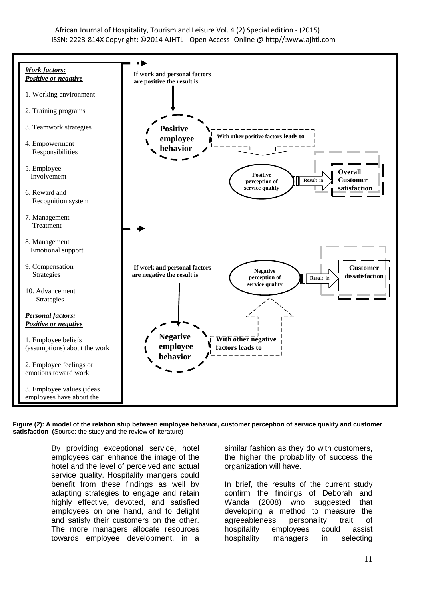

Figure (2): A model of the relation ship between employee behavior, customer perception of service quality and customer satisfaction (Source: the study and the review of literature)

> By providing exceptional service, hotel employees can enhance the image of the hotel and the level of perceived and actual service quality. Hospitality mangers could benefit from these findings as well by adapting strategies to engage and retain highly effective, devoted, and satisfied employees on one hand, and to delight and satisfy their customers on the other. The more managers allocate resources towards employee development, in a

similar fashion as they do with customers, the higher the probability of success the organization will have.

In brief, the results of the current study confirm the findings of Deborah and Wanda (2008) who suggested that developing a method to measure the agreeableness personality trait of hospitality employees could assist hospitality managers in selecting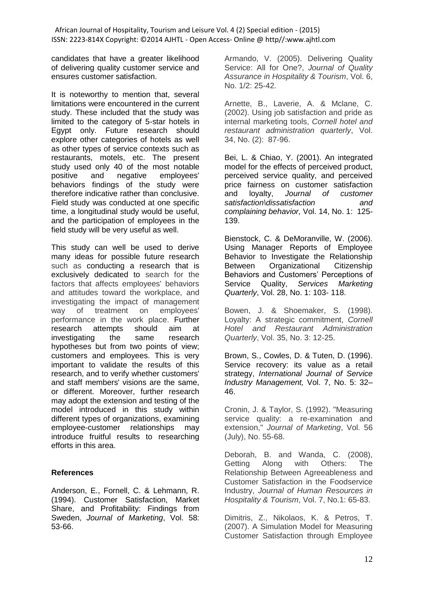candidates that have a greater likelihood of delivering quality customer service and ensures customer satisfaction.

It is noteworthy to mention that, several limitations were encountered in the current study. These included that the study was limited to the category of 5-star hotels in Egypt only. Future research should explore other categories of hotels as well as other types of service contexts such as restaurants, motels, etc. The present study used only 40 of the most notable positive and negative employees' behaviors findings of the study were therefore indicative rather than conclusive. Field study was conducted at one specific time, a longitudinal study would be useful, and the participation of employees in the field study will be very useful as well.

This study can well be used to derive many ideas for possible future research such as conducting a research that is exclusively dedicated to search for the factors that affects employees' behaviors and attitudes toward the workplace, and investigating the impact of management way of treatment on employees' performance in the work place. Further research attempts should aim at investigating the same research hypotheses but from two points of view; customers and employees. This is very important to validate the results of this research, and to verify whether customers' and staff members' visions are the same, or different. Moreover, further research may adopt the extension and testing of the model introduced in this study within different types of organizations, examining employee-customer relationships may introduce fruitful results to researching efforts in this area.

# **References**

Anderson, E., Fornell, C. & Lehmann, R. (1994). Customer Satisfaction, Market Share, and Profitability: Findings from Sweden, *Journal of Marketing*, Vol. 58: 53-66.

Armando, V. (2005). Delivering Quality Service: All for One?, *Journal of Quality Assurance in Hospitality & Tourism*, Vol. 6, No. 1/2: 25-42.

Arnette, B., Laverie, A. & Mclane, C. (2002). Using job satisfaction and pride as internal marketing tools, *Cornell hotel and restaurant administration quarterly*, Vol. 34, No. (2): 87-96.

Bei, L. & Chiao, Y. (2001). An integrated model for the effects of perceived product, perceived service quality, and perceived price fairness on customer satisfaction and loyalty, *Journal of customer satisfaction\dissatisfaction and complaining behavior,* Vol. 14, No. 1: 125- 139.

Bienstock, C. & DeMoranville, W. (2006). Using Manager Reports of Employee Behavior to Investigate the Relationship Between Organizational Citizenship Behaviors and Customers' Perceptions of Service Quality, *Services Marketing Quarterly*, Vol. 28, No. 1: 103- 118.

Bowen, J. & Shoemaker, S. (1998). Loyalty: A strategic commitment, *Cornell Hotel and Restaurant Administration Quarterly*, Vol. 35, No. 3: 12-25.

Brown, S., Cowles, D. & Tuten, D. (1996). Service recovery: its value as a retail strategy, *International Journal of Service Industry Management,* Vol. 7, No. 5: 32– 46.

Cronin, J. & Taylor, S. (1992). "Measuring service quality: a re-examination and extension," *Journal of Marketing*, Vol. 56 (July), No. 55-68.

Deborah, B. and Wanda, C. (2008), Getting Along with Others: The Relationship Between Agreeableness and Customer Satisfaction in the Foodservice Industry, *Journal of Human Resources in Hospitality & Tourism*, Vol. 7, No.1: 65-83.

Dimitris, Z., Nikolaos, K. & Petros, T. (2007). A Simulation Model for Measuring Customer Satisfaction through Employee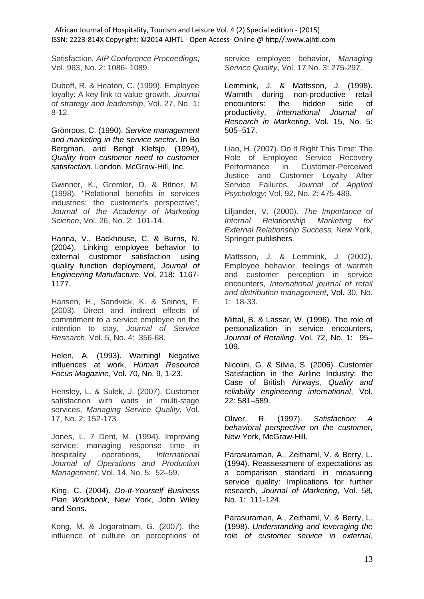Satisfaction, *AIP Conference Proceedings*, Vol. 963, No. 2: 1086- 1089.

Duboff, R. & Heaton, C. (1999). Employee loyalty: A key link to value growth, *Journal of strategy and leadership*, Vol. 27, No. 1: 8-12.

Grönroos, C. (1990). *Service management and marketing in the service sector*. In Bo Bergman, and Bengt Klefsjo, (1994), *Quality from customer need to customer satisfaction*. London. McGraw-Hill, Inc.

Gwinner, K., Gremler, D. & Bitner, M. (1998). "Relational benefits in services industries: the customer's perspective", *Journal of the Academy of Marketing Science*, Vol. 26, No. 2: 101-14.

Hanna, V., Backhouse, C. & Burns, N. (2004). Linking employee behavior to external customer satisfaction using quality function deployment, *Journal of Engineering Manufacture*, Vol. 218: 1167- 1177.

Hansen, H., Sandvick, K. & Seines, F. (2003). Direct and indirect effects of commitment to a service employee on the intention to stay, *Journal of Service Research*, Vol. 5, No. 4: 356-68.

Helen, A. (1993). Warning! Negative influences at work, *Human Resource Focus Magazine*, Vol. 70, No. 9, 1-23.

Hensley, L. & Sulek, J. (2007). Customer satisfaction with waits in multi-stage services, *Managing Service Quality*, Vol. 17, No. 2: 152-173.

Jones, L. 7 Dent, M. (1994). Improving service: managing response time in hospitality operations, *International Journal of Operations and Production Management*, Vol. 14, No. 5: 52–59.

King, C. (2004). *Do-It-Yourself Business Plan Workbook*, New York, John Wiley and Sons.

Kong, M. & Jogaratnam, G. (2007). the influence of culture on perceptions of service employee behavior, *Managing Service Quality*, Vol. 17,No. 3: 275-297.

Lemmink, J. & Mattsson, J. (1998). Warmth during non-productive retail encounters: the hidden side of productivity, *International Journal of Research in Marketing*. Vol. 15, No. 5: 505–517.

Liao, H. (2007). Do It Right This Time: The Role of Employee Service Recovery Performance in Customer-Perceived Justice and Customer Loyalty After Service Failures, *Journal of Applied Psychology*; Vol. 92, No. 2: 475-489.

Liljander, V. (2000). *The Importance of Internal Relationship Marketing for External Relationship Success,* New York, Springer publishers.

Mattsson, J. & Lemmink, J. (2002). Employee behavior, feelings of warmth and customer perception in service encounters, *International journal of retail and distribution management*, Vol. 30, No. 1: 18-33.

Mittal, B. & Lassar, W. (1996). The role of personalization in service encounters, *Journal of Retailing*. Vol. 72, No. 1: 95– 109.

Nicolini, G. & Silvia, S. (2006). Customer Satisfaction in the Airline Industry: the Case of British Airways, *Quality and reliability engineering international*, Vol. 22: 581–589.

Oliver, R. (1997). *Satisfaction; A behavioral perspective on the customer*, New York, McGraw-Hill.

Parasuraman, A., Zeithaml, V. & Berry, L. (1994). Reassessment of expectations as a comparison standard in measuring service quality: Implications for further research, *Journal of Marketing*, Vol. 58, No. 1: 111-124.

Parasuraman, A., Zeithaml, V. & Berry, L. (1998). *Understanding and leveraging the role of customer service in external,*